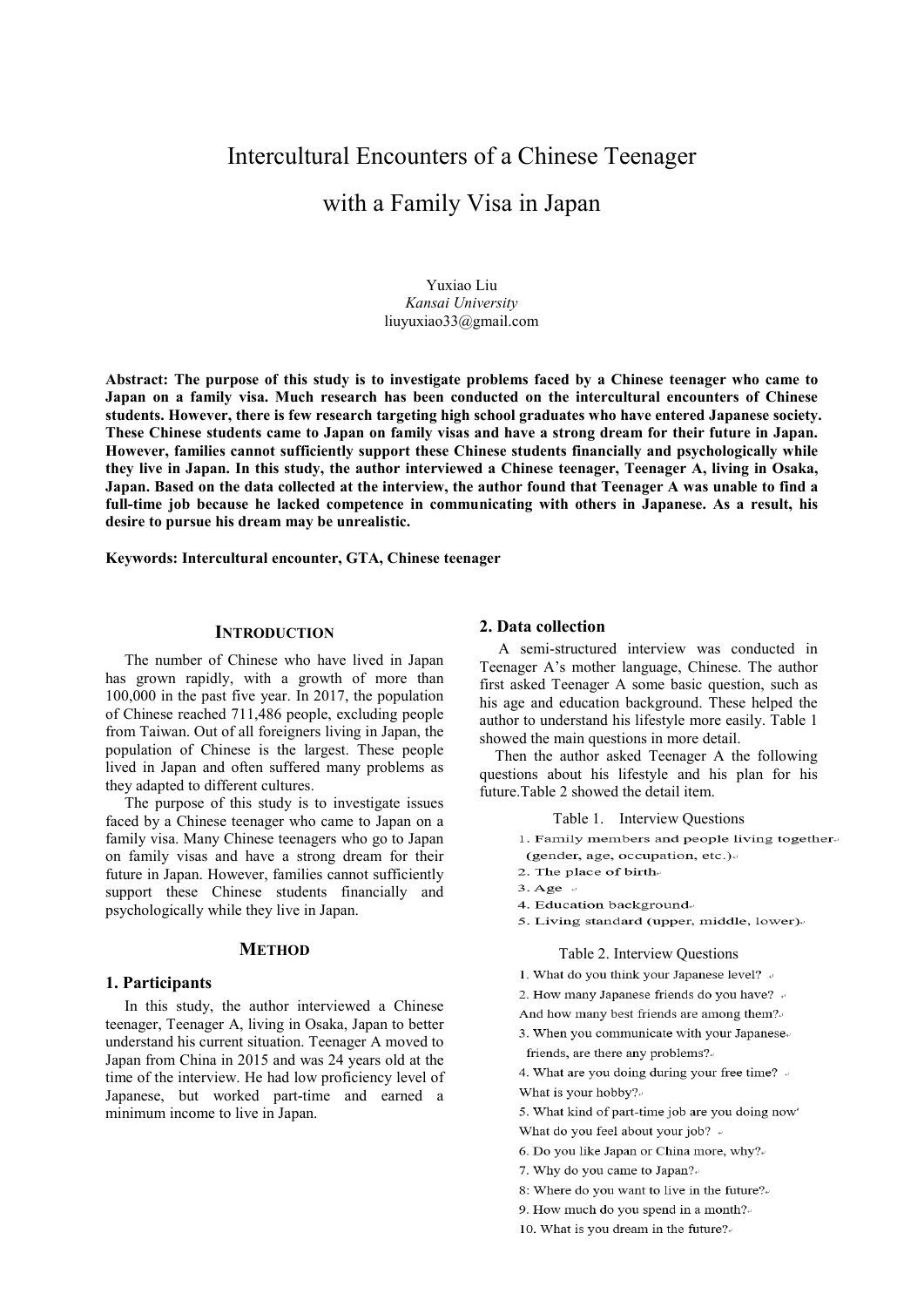# Intercultural Encounters of a Chinese Teenager

## with a Family Visa in Japan

Yuxiao Liu *Kansai University* liuyuxiao33@gmail.com

**Abstract: The purpose of this study is to investigate problems faced by a Chinese teenager who came to Japan on a family visa. Much research has been conducted on the intercultural encounters of Chinese students. However, there is few research targeting high school graduates who have entered Japanese society. These Chinese students came to Japan on family visas and have a strong dream for their future in Japan. However, families cannot sufficiently support these Chinese students financially and psychologically while they live in Japan. In this study, the author interviewed a Chinese teenager, Teenager A, living in Osaka, Japan. Based on the data collected at the interview, the author found that Teenager A was unable to find a full-time job because he lacked competence in communicating with others in Japanese. As a result, his desire to pursue his dream may be unrealistic.** 

**Keywords: Intercultural encounter, GTA, Chinese teenager**

#### **INTRODUCTION**

The number of Chinese who have lived in Japan has grown rapidly, with a growth of more than 100,000 in the past five year. In 2017, the population of Chinese reached 711,486 people, excluding people from Taiwan. Out of all foreigners living in Japan, the population of Chinese is the largest. These people lived in Japan and often suffered many problems as they adapted to different cultures.

The purpose of this study is to investigate issues faced by a Chinese teenager who came to Japan on a family visa. Many Chinese teenagers who go to Japan on family visas and have a strong dream for their future in Japan. However, families cannot sufficiently support these Chinese students financially and psychologically while they live in Japan.

#### **METHOD**

#### **1. Participants**

In this study, the author interviewed a Chinese teenager, Teenager A, living in Osaka, Japan to better understand his current situation. Teenager A moved to Japan from China in 2015 and was 24 years old at the time of the interview. He had low proficiency level of Japanese, but worked part-time and earned a minimum income to live in Japan.

#### **2. Data collection**

A semi-structured interview was conducted in Teenager A's mother language, Chinese. The author first asked Teenager A some basic question, such as his age and education background. These helped the author to understand his lifestyle more easily. Table 1 showed the main questions in more detail.

Then the author asked Teenager A the following questions about his lifestyle and his plan for his future.Table 2 showed the detail item.

Table 1. Interview Questions

- 1. Family members and people living together.
- (gender, age, occupation, etc.) 2. The place of birth-
- 
- $3. \text{Age}$
- 4. Education background
- 5. Living standard (upper, middle, lower).

#### Table 2. Interview Questions

- 1. What do you think your Japanese level? .
- 2. How many Japanese friends do you have? +
- And how many best friends are among them?
- 3. When you communicate with your Japanese. friends, are there any problems?
- 4. What are you doing during your free time? + What is your hobby?
- 5. What kind of part-time job are you doing now What do you feel about your job? +
- 6. Do you like Japan or China more, why?
- 7. Why do you came to Japan?
- 8: Where do you want to live in the future?
- 9. How much do you spend in a month?
- 10. What is you dream in the future?.